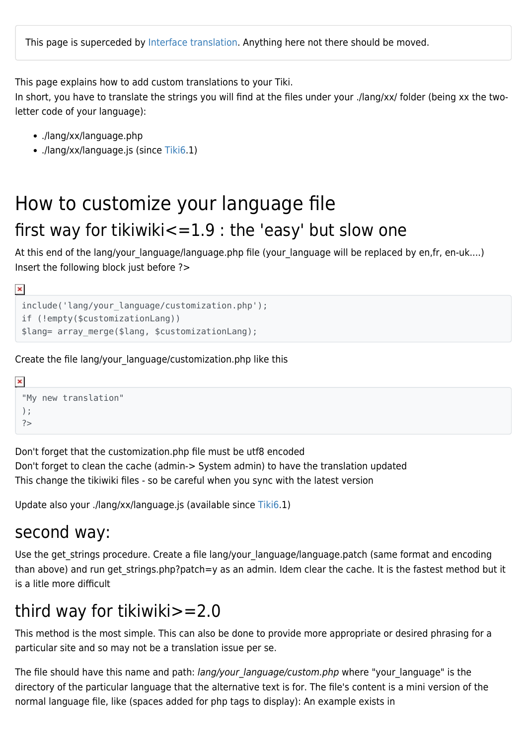This page explains how to add custom translations to your Tiki.

In short, you have to translate the strings you will find at the files under your ./lang/xx/ folder (being xx the twoletter code of your language):

- ./lang/xx/language.php
- ./lang/xx/language.js (since [Tiki6.](https://doc.tiki.org/Tiki6)1)

# How to customize your language file first way for tikiwiki $\leq$ =1.9 : the 'easy' but slow one

At this end of the lang/your language/language.php file (your language will be replaced by en,fr, en-uk....) Insert the following block just before ?>

 $\pmb{\times}$ 

```
include('lang/your_language/customization.php');
if (!empty($customizationLang))
$lang= array_merge($lang, $customizationLang);
```
Create the file lang/your\_language/customization.php like this

```
\pmb{\times}"My new translation"
 );
 ?>
```
Don't forget that the customization.php file must be utf8 encoded

Don't forget to clean the cache (admin-> System admin) to have the translation updated This change the tikiwiki files - so be careful when you sync with the latest version

Update also your ./lang/xx/language.js (available since [Tiki6](https://doc.tiki.org/Tiki6).1)

### second way:

Use the get strings procedure. Create a file lang/your language/language.patch (same format and encoding than above) and run get strings.php?patch=y as an admin. Idem clear the cache. It is the fastest method but it is a litle more difficult

## third way for tikiwiki>=2.0

This method is the most simple. This can also be done to provide more appropriate or desired phrasing for a particular site and so may not be a translation issue per se.

The file should have this name and path: lang/your language/custom.php where "your language" is the directory of the particular language that the alternative text is for. The file's content is a mini version of the normal language file, like (spaces added for php tags to display): An example exists in